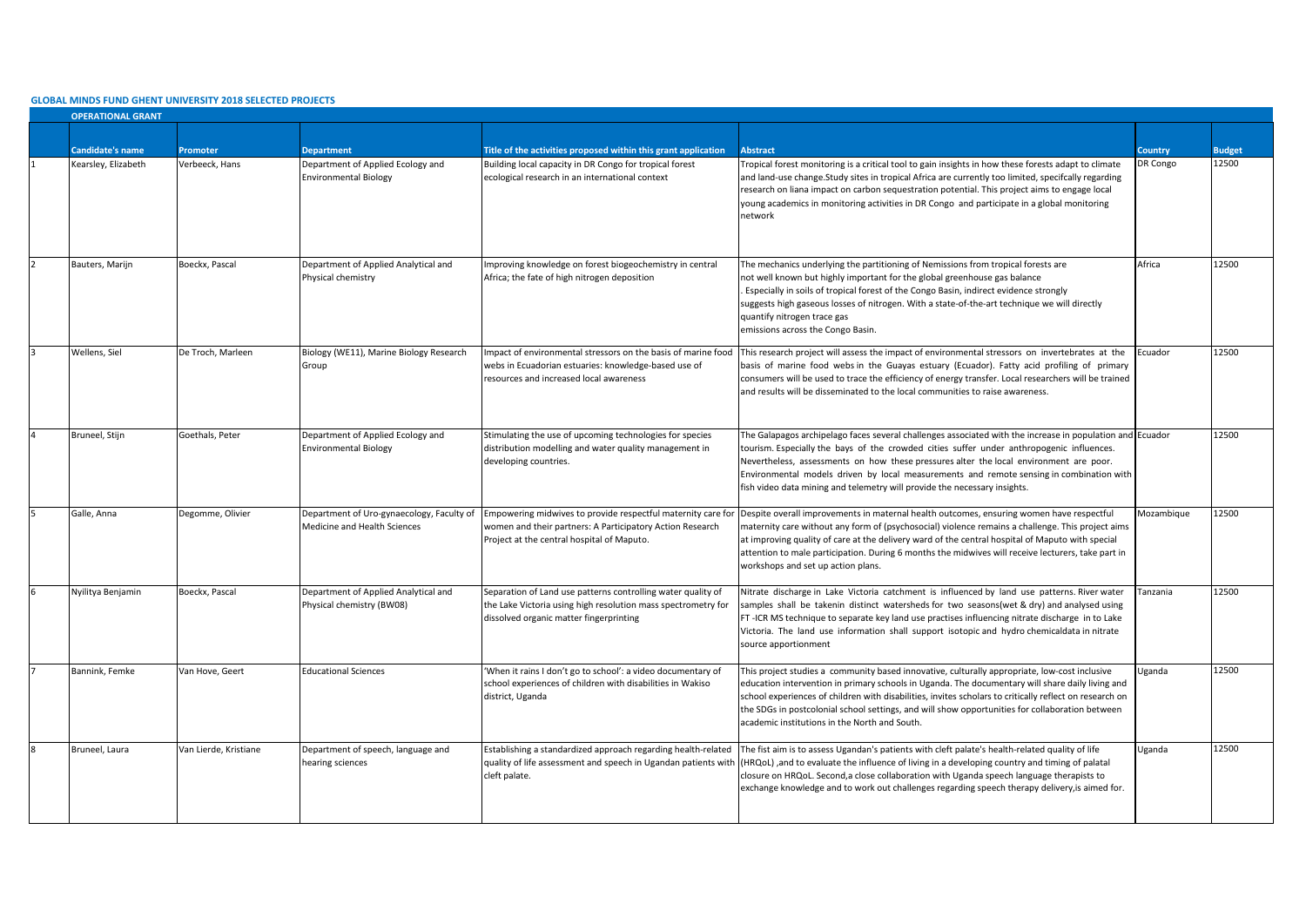## **GLOBAL MINDS FUND GHENT UNIVERSITY 2018 SELECTED PROJECTS**

| <b>OPERATIONAL GRANT</b> |                       |                                                                           |                                                                                                                                                                          |                                                                                                                                                                                                                                                                                                                                                                                                                                                                           |            |               |  |  |
|--------------------------|-----------------------|---------------------------------------------------------------------------|--------------------------------------------------------------------------------------------------------------------------------------------------------------------------|---------------------------------------------------------------------------------------------------------------------------------------------------------------------------------------------------------------------------------------------------------------------------------------------------------------------------------------------------------------------------------------------------------------------------------------------------------------------------|------------|---------------|--|--|
|                          |                       |                                                                           |                                                                                                                                                                          |                                                                                                                                                                                                                                                                                                                                                                                                                                                                           |            |               |  |  |
| <b>Candidate's name</b>  | Promoter              | <b>Department</b>                                                         | Title of the activities proposed within this grant application                                                                                                           | <b>Abstract</b>                                                                                                                                                                                                                                                                                                                                                                                                                                                           | Country    | <b>Sudget</b> |  |  |
| Kearsley, Elizabeth      | Verbeeck, Hans        | Department of Applied Ecology and<br><b>Environmental Biology</b>         | Building local capacity in DR Congo for tropical forest<br>ecological research in an international context                                                               | Tropical forest monitoring is a critical tool to gain insights in how these forests adapt to climate<br>and land-use change. Study sites in tropical Africa are currently too limited, specifcally regarding<br>research on liana impact on carbon sequestration potential. This project aims to engage local<br>young academics in monitoring activities in DR Congo and participate in a global monitoring<br>network                                                   | DR Congo   | 12500         |  |  |
| Bauters, Marijn          | Boeckx, Pascal        | Department of Applied Analytical and<br>Physical chemistry                | mproving knowledge on forest biogeochemistry in central<br>Africa; the fate of high nitrogen deposition                                                                  | The mechanics underlying the partitioning of Nemissions from tropical forests are<br>not well known but highly important for the global greenhouse gas balance<br>Especially in soils of tropical forest of the Congo Basin, indirect evidence strongly<br>suggests high gaseous losses of nitrogen. With a state-of-the-art technique we will directly<br>quantify nitrogen trace gas<br>emissions across the Congo Basin.                                               | Africa     | 12500         |  |  |
| Wellens, Siel            | De Troch, Marleen     | Biology (WE11), Marine Biology Research<br>Group                          | mpact of environmental stressors on the basis of marine food<br>webs in Ecuadorian estuaries: knowledge-based use of<br>resources and increased local awareness          | This research project will assess the impact of environmental stressors on invertebrates at the<br>basis of marine food webs in the Guayas estuary (Ecuador). Fatty acid profiling of primary<br>consumers will be used to trace the efficiency of energy transfer. Local researchers will be trained<br>and results will be disseminated to the local communities to raise awareness.                                                                                    | Ecuador    | 12500         |  |  |
| Bruneel, Stijn           | Goethals, Peter       | Department of Applied Ecology and<br><b>Environmental Biology</b>         | Stimulating the use of upcoming technologies for species<br>distribution modelling and water quality management in<br>developing countries.                              | The Galapagos archipelago faces several challenges associated with the increase in population and Ecuador<br>tourism. Especially the bays of the crowded cities suffer under anthropogenic influences.<br>Nevertheless, assessments on how these pressures alter the local environment are poor.<br>Environmental models driven by local measurements and remote sensing in combination with<br>fish video data mining and telemetry will provide the necessary insights. |            | 12500         |  |  |
| Galle, Anna              | Degomme, Olivier      | Department of Uro-gynaecology, Faculty of<br>Medicine and Health Sciences | Empowering midwives to provide respectful maternity care fo<br>women and their partners: A Participatory Action Research<br>Project at the central hospital of Maputo.   | Despite overall improvements in maternal health outcomes, ensuring women have respectful<br>maternity care without any form of (psychosocial) violence remains a challenge. This project aims<br>at improving quality of care at the delivery ward of the central hospital of Maputo with special<br>attention to male participation. During 6 months the midwives will receive lecturers, take part in<br>workshops and set up action plans.                             | Mozambique | 12500         |  |  |
| Nyilitya Benjamin        | Boeckx, Pascal        | Department of Applied Analytical and<br>Physical chemistry (BW08)         | Separation of Land use patterns controlling water quality of<br>the Lake Victoria using high resolution mass spectrometry for<br>dissolved organic matter fingerprinting | Nitrate discharge in Lake Victoria catchment is influenced by land use patterns. River water<br>samples shall be takenin distinct watersheds for two seasons(wet & dry) and analysed using<br>FT-ICR MS technique to separate key land use practises influencing nitrate discharge in to Lake<br>Victoria. The land use information shall support isotopic and hydro chemicaldata in nitrate<br>source apportionment                                                      | Tanzania   | 12500         |  |  |
| Bannink, Femke           | Van Hove, Geert       | <b>Educational Sciences</b>                                               | 'When it rains I don't go to school': a video documentary of<br>school experiences of children with disabilities in Wakiso<br>district, Uganda                           | This project studies a community based innovative, culturally appropriate, low-cost inclusive<br>education intervention in primary schools in Uganda. The documentary will share daily living and<br>school experiences of children with disabilities, invites scholars to critically reflect on research on<br>the SDGs in postcolonial school settings, and will show opportunities for collaboration between<br>academic institutions in the North and South.          | Uganda     | 12500         |  |  |
| Bruneel, Laura           | Van Lierde, Kristiane | Department of speech, language and<br>hearing sciences                    | Establishing a standardized approach regarding health-related<br>quality of life assessment and speech in Ugandan patients with<br>cleft palate.                         | The fist aim is to assess Ugandan's patients with cleft palate's health-related quality of life<br>(HRQoL), and to evaluate the influence of living in a developing country and timing of palatal<br>closure on HRQoL. Second, a close collaboration with Uganda speech language therapists to<br>exchange knowledge and to work out challenges regarding speech therapy delivery, is aimed for.                                                                          | Uganda     | 12500         |  |  |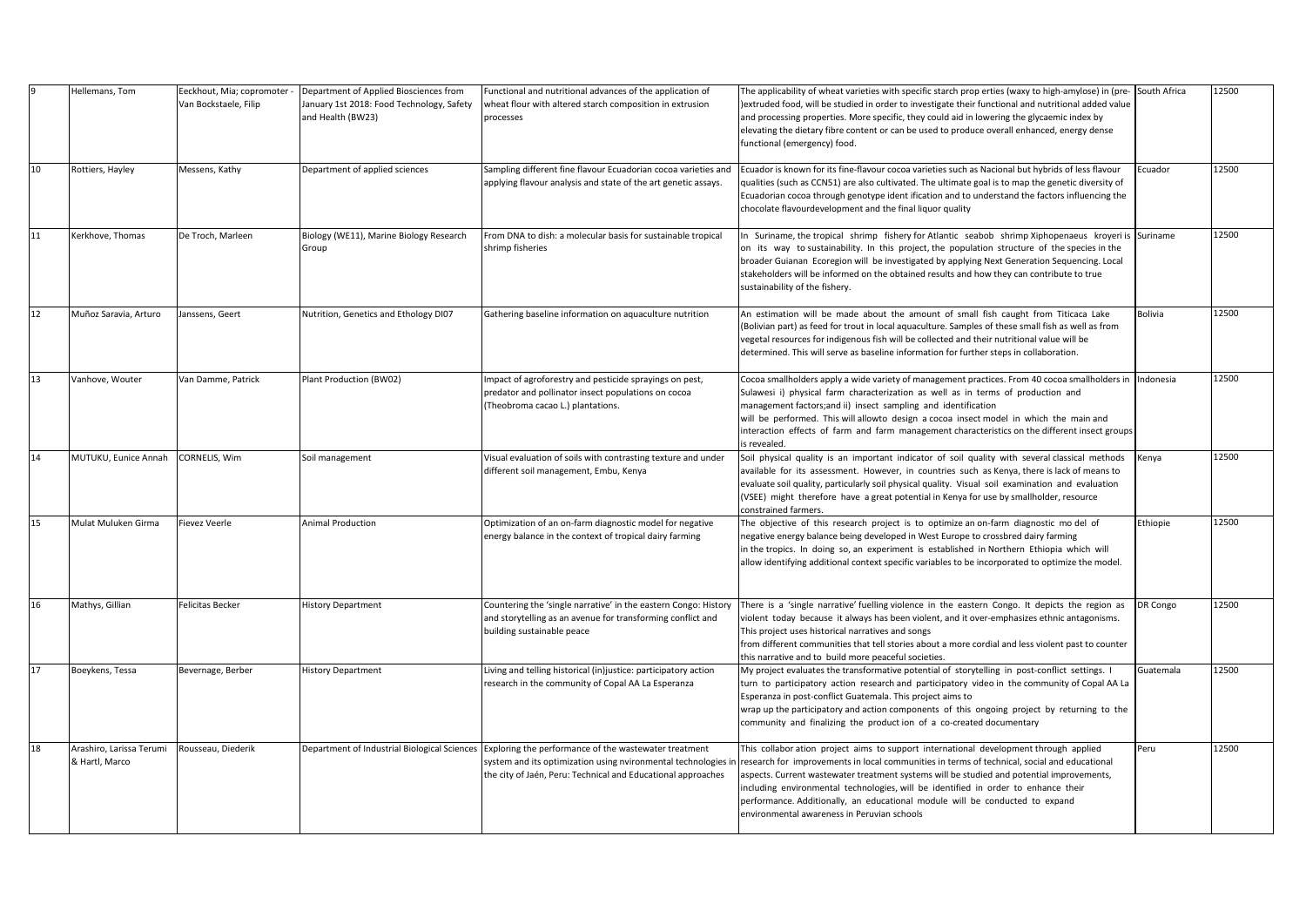|    | Hellemans, Tom                             | Eeckhout, Mia; copromoter<br>Van Bockstaele, Filip | Department of Applied Biosciences from<br>January 1st 2018: Food Technology, Safety<br>and Health (BW23) | Functional and nutritional advances of the application of<br>wheat flour with altered starch composition in extrusion<br>processes                                                                                                | The applicability of wheat varieties with specific starch prop erties (waxy to high-amylose) in (pre-<br>extruded food, will be studied in order to investigate their functional and nutritional added value)<br>and processing properties. More specific, they could aid in lowering the glycaemic index by<br>elevating the dietary fibre content or can be used to produce overall enhanced, energy dense<br>functional (emergency) food.                                                            | South Africa   | 12500 |
|----|--------------------------------------------|----------------------------------------------------|----------------------------------------------------------------------------------------------------------|-----------------------------------------------------------------------------------------------------------------------------------------------------------------------------------------------------------------------------------|---------------------------------------------------------------------------------------------------------------------------------------------------------------------------------------------------------------------------------------------------------------------------------------------------------------------------------------------------------------------------------------------------------------------------------------------------------------------------------------------------------|----------------|-------|
| 10 | Rottiers, Hayley                           | Messens, Kathy                                     | Department of applied sciences                                                                           | Sampling different fine flavour Ecuadorian cocoa varieties and<br>applying flavour analysis and state of the art genetic assays.                                                                                                  | Ecuador is known for its fine-flavour cocoa varieties such as Nacional but hybrids of less flavour<br>qualities (such as CCN51) are also cultivated. The ultimate goal is to map the genetic diversity of<br>Ecuadorian cocoa through genotype ident ification and to understand the factors influencing the<br>chocolate flavourdevelopment and the final liquor quality                                                                                                                               | Ecuador        | 12500 |
| 11 | Kerkhove, Thomas                           | De Troch, Marleen                                  | Biology (WE11), Marine Biology Research<br>Group                                                         | From DNA to dish: a molecular basis for sustainable tropical<br>shrimp fisheries                                                                                                                                                  | In Suriname, the tropical shrimp fishery for Atlantic seabob shrimp Xiphopenaeus kroyeri is<br>on its way to sustainability. In this project, the population structure of the species in the<br>broader Guianan Ecoregion will be investigated by applying Next Generation Sequencing. Local<br>stakeholders will be informed on the obtained results and how they can contribute to true<br>sustainability of the fishery.                                                                             | Suriname       | 12500 |
| 12 | Muñoz Saravia, Arturo                      | Janssens, Geert                                    | Nutrition, Genetics and Ethology DI07                                                                    | Gathering baseline information on aquaculture nutrition                                                                                                                                                                           | An estimation will be made about the amount of small fish caught from Titicaca Lake<br>(Bolivian part) as feed for trout in local aquaculture. Samples of these small fish as well as from<br>vegetal resources for indigenous fish will be collected and their nutritional value will be<br>determined. This will serve as baseline information for further steps in collaboration.                                                                                                                    | <b>Bolivia</b> | 12500 |
| 13 | Vanhove, Wouter                            | Van Damme, Patrick                                 | Plant Production (BW02)                                                                                  | Impact of agroforestry and pesticide sprayings on pest,<br>predator and pollinator insect populations on cocoa<br>(Theobroma cacao L.) plantations.                                                                               | Cocoa smallholders apply a wide variety of management practices. From 40 cocoa smallholders in<br>Sulawesi i) physical farm characterization as well as in terms of production and<br>management factors; and ii) insect sampling and identification<br>will be performed. This will allowto design a cocoa insect model in which the main and<br>interaction effects of farm and farm management characteristics on the different insect groups<br>s revealed.                                         | Indonesia      | 12500 |
| 14 | MUTUKU, Eunice Annah                       | CORNELIS, Wim                                      | Soil management                                                                                          | Visual evaluation of soils with contrasting texture and under<br>different soil management, Embu, Kenya                                                                                                                           | Soil physical quality is an important indicator of soil quality with several classical methods<br>available for its assessment. However, in countries such as Kenya, there is lack of means to<br>evaluate soil quality, particularly soil physical quality. Visual soil examination and evaluation<br>(VSEE) might therefore have a great potential in Kenya for use by smallholder, resource<br>constrained farmers.                                                                                  | Kenya          | 12500 |
| 15 | Mulat Muluken Girma                        | <b>Fievez Veerle</b>                               | Animal Production                                                                                        | Optimization of an on-farm diagnostic model for negative<br>energy balance in the context of tropical dairy farming                                                                                                               | The objective of this research project is to optimize an on-farm diagnostic mo del of<br>negative energy balance being developed in West Europe to crossbred dairy farming<br>in the tropics. In doing so, an experiment is established in Northern Ethiopia which will<br>allow identifying additional context specific variables to be incorporated to optimize the model.                                                                                                                            | Ethiopie       | 12500 |
| 16 | Mathys, Gillian                            | <b>Felicitas Becker</b>                            | <b>History Department</b>                                                                                | Countering the 'single narrative' in the eastern Congo: History<br>and storytelling as an avenue for transforming conflict and<br>building sustainable peace                                                                      | There is a 'single narrative' fuelling violence in the eastern Congo. It depicts the region as<br>violent today because it always has been violent, and it over-emphasizes ethnic antagonisms.<br>This project uses historical narratives and songs<br>from different communities that tell stories about a more cordial and less violent past to counter<br>this narrative and to build more peaceful societies.                                                                                       | DR Congo       | 12500 |
| 17 | Boeykens, Tessa                            | Bevernage, Berber                                  | <b>History Department</b>                                                                                | Living and telling historical (in)justice: participatory action<br>research in the community of Copal AA La Esperanza                                                                                                             | My project evaluates the transformative potential of storytelling in post-conflict settings. I<br>turn to participatory action research and participatory video in the community of Copal AA La<br>Esperanza in post-conflict Guatemala. This project aims to<br>wrap up the participatory and action components of this ongoing project by returning to the<br>community and finalizing the production of a co-created documentary                                                                     | Guatemala      | 12500 |
| 18 | Arashiro, Larissa Terumi<br>& Hartl, Marco | Rousseau, Diederik                                 |                                                                                                          | Department of Industrial Biological Sciences Exploring the performance of the wastewater treatment<br>system and its optimization using nvironmental technologies<br>the city of Jaén, Peru: Technical and Educational approaches | This collabor ation project aims to support international development through applied<br>research for improvements in local communities in terms of technical, social and educational<br>aspects. Current wastewater treatment systems will be studied and potential improvements,<br>including environmental technologies, will be identified in order to enhance their<br>performance. Additionally, an educational module will be conducted to expand<br>environmental awareness in Peruvian schools | Peru           | 12500 |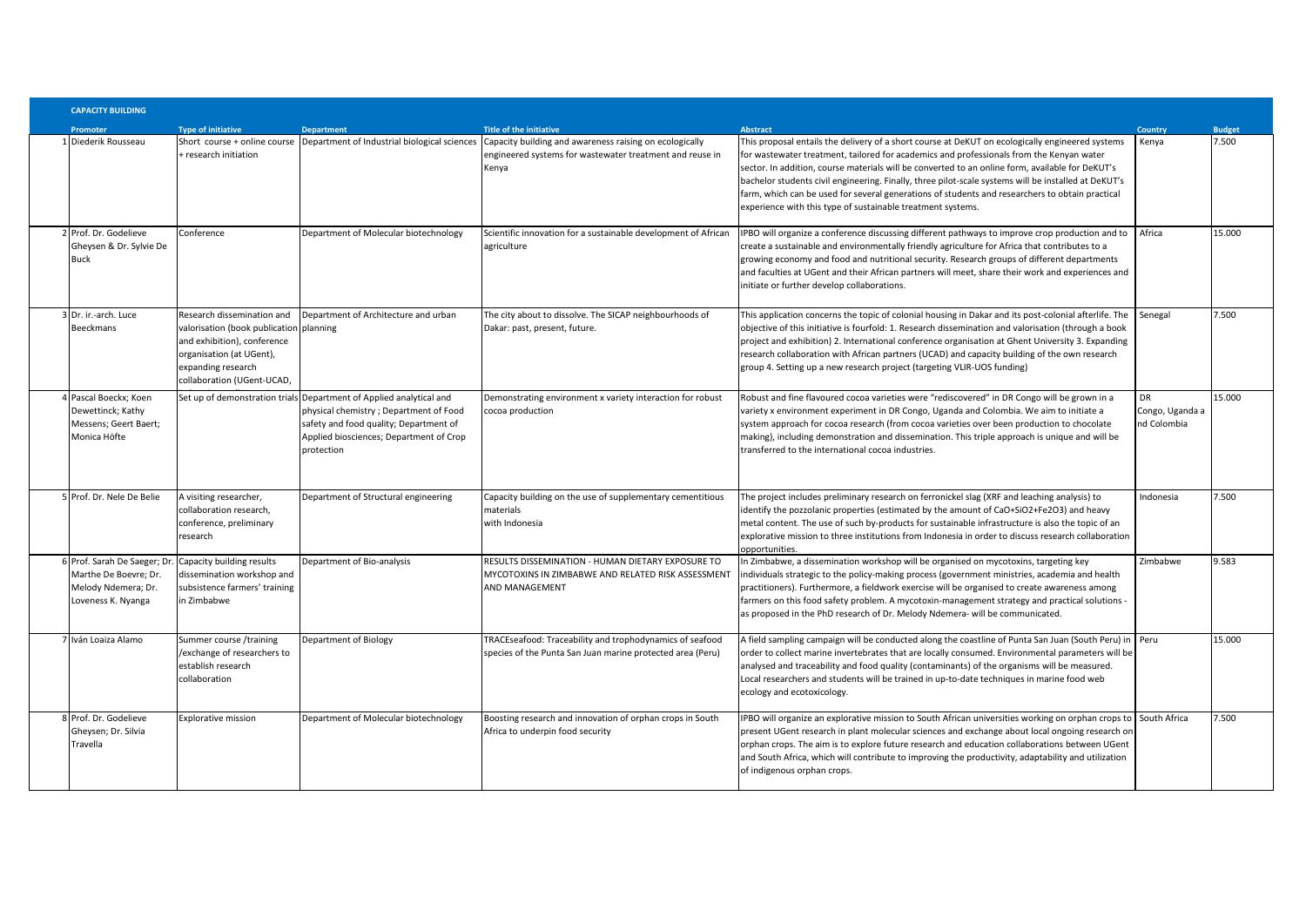| <b>CAPACITY BUILDING</b>                                                                          |                                                                                                                                                                                      |                                                                                                                                                                                                                  |                                                                                                                                                                                                        |                                                                                                                                                                                                                                                                                                                                                                                                                                                                                                                                                                            |                                             |               |
|---------------------------------------------------------------------------------------------------|--------------------------------------------------------------------------------------------------------------------------------------------------------------------------------------|------------------------------------------------------------------------------------------------------------------------------------------------------------------------------------------------------------------|--------------------------------------------------------------------------------------------------------------------------------------------------------------------------------------------------------|----------------------------------------------------------------------------------------------------------------------------------------------------------------------------------------------------------------------------------------------------------------------------------------------------------------------------------------------------------------------------------------------------------------------------------------------------------------------------------------------------------------------------------------------------------------------------|---------------------------------------------|---------------|
| Promoter                                                                                          | <b>Type of initiative</b>                                                                                                                                                            | <b>Department</b>                                                                                                                                                                                                | Title of the initiative                                                                                                                                                                                | <b>Abstract</b>                                                                                                                                                                                                                                                                                                                                                                                                                                                                                                                                                            | <b>Country</b>                              | <b>Budget</b> |
| 1 Diederik Rousseau                                                                               | research initiation                                                                                                                                                                  |                                                                                                                                                                                                                  | Short course + online course Department of Industrial biological sciences Capacity building and awareness raising on ecologically<br>engineered systems for wastewater treatment and reuse in<br>Kenya | This proposal entails the delivery of a short course at DeKUT on ecologically engineered systems<br>for wastewater treatment, tailored for academics and professionals from the Kenyan water<br>sector. In addition, course materials will be converted to an online form, available for DeKUT's<br>bachelor students civil engineering. Finally, three pilot-scale systems will be installed at DeKUT's<br>farm, which can be used for several generations of students and researchers to obtain practical<br>experience with this type of sustainable treatment systems. | Kenya                                       | 7.500         |
| 2 Prof. Dr. Godelieve<br>Gheysen & Dr. Sylvie De<br>Buck                                          | Conference                                                                                                                                                                           | Department of Molecular biotechnology                                                                                                                                                                            | Scientific innovation for a sustainable development of African<br>agriculture                                                                                                                          | IPBO will organize a conference discussing different pathways to improve crop production and to<br>create a sustainable and environmentally friendly agriculture for Africa that contributes to a<br>growing economy and food and nutritional security. Research groups of different departments<br>and faculties at UGent and their African partners will meet, share their work and experiences and<br>initiate or further develop collaborations.                                                                                                                       | Africa                                      | 15.000        |
| 3 Dr. ir.-arch. Luce<br>Beeckmans                                                                 | Research dissemination and<br>valorisation (book publication planning<br>and exhibition), conference<br>organisation (at UGent),<br>expanding research<br>collaboration (UGent-UCAD, | Department of Architecture and urban                                                                                                                                                                             | The city about to dissolve. The SICAP neighbourhoods of<br>Dakar: past, present, future.                                                                                                               | This application concerns the topic of colonial housing in Dakar and its post-colonial afterlife. The<br>objective of this initiative is fourfold: 1. Research dissemination and valorisation (through a book<br>project and exhibition) 2. International conference organisation at Ghent University 3. Expanding<br>research collaboration with African partners (UCAD) and capacity building of the own research<br>group 4. Setting up a new research project (targeting VLIR-UOS funding)                                                                             | Senegal                                     | 7.500         |
| Pascal Boeckx; Koen<br>Dewettinck; Kathy<br>Messens; Geert Baert;<br>Monica Höfte                 |                                                                                                                                                                                      | Set up of demonstration trials Department of Applied analytical and<br>physical chemistry; Department of Food<br>safety and food quality; Department of<br>Applied biosciences; Department of Crop<br>protection | Demonstrating environment x variety interaction for robust<br>cocoa production                                                                                                                         | Robust and fine flavoured cocoa varieties were "rediscovered" in DR Congo will be grown in a<br>variety x environment experiment in DR Congo, Uganda and Colombia. We aim to initiate a<br>system approach for cocoa research (from cocoa varieties over been production to chocolate<br>making), including demonstration and dissemination. This triple approach is unique and will be<br>transferred to the international cocoa industries.                                                                                                                              | <b>DR</b><br>Congo, Uganda a<br>nd Colombia | 15.000        |
| Frof. Dr. Nele De Belie                                                                           | A visiting researcher,<br>collaboration research,<br>conference, preliminary<br>research                                                                                             | Department of Structural engineering                                                                                                                                                                             | Capacity building on the use of supplementary cementitious<br>materials<br>with Indonesia                                                                                                              | The project includes preliminary research on ferronickel slag (XRF and leaching analysis) to<br>identify the pozzolanic properties (estimated by the amount of CaO+SiO2+Fe2O3) and heavy<br>metal content. The use of such by-products for sustainable infrastructure is also the topic of an<br>explorative mission to three institutions from Indonesia in order to discuss research collaboration<br>opportunities.                                                                                                                                                     | Indonesia                                   | .500          |
| 6 Prof. Sarah De Saeger; Dr<br>Marthe De Boevre: Dr.<br>Melody Ndemera; Dr.<br>Loveness K. Nyanga | Capacity building results<br>dissemination workshop and<br>subsistence farmers' training<br>in Zimbabwe                                                                              | Department of Bio-analysis                                                                                                                                                                                       | RESULTS DISSEMINATION - HUMAN DIETARY EXPOSURE TO<br>MYCOTOXINS IN ZIMBABWE AND RELATED RISK ASSESSMENT<br><b>AND MANAGEMENT</b>                                                                       | In Zimbabwe, a dissemination workshop will be organised on mycotoxins, targeting key<br>individuals strategic to the policy-making process (government ministries, academia and health<br>practitioners). Furthermore, a fieldwork exercise will be organised to create awareness among<br>farmers on this food safety problem. A mycotoxin-management strategy and practical solutions -<br>as proposed in the PhD research of Dr. Melody Ndemera- will be communicated.                                                                                                  | Zimbabwe                                    | 9.583         |
| 7 Iván Loaiza Alamo                                                                               | Summer course /training<br>/exchange of researchers to<br>establish research<br>collaboration                                                                                        | <b>Department of Biology</b>                                                                                                                                                                                     | TRACEseafood: Traceability and trophodynamics of seafood<br>species of the Punta San Juan marine protected area (Peru)                                                                                 | A field sampling campaign will be conducted along the coastline of Punta San Juan (South Peru) in<br>order to collect marine invertebrates that are locally consumed. Environmental parameters will be<br>analysed and traceability and food quality (contaminants) of the organisms will be measured.<br>Local researchers and students will be trained in up-to-date techniques in marine food web<br>ecology and ecotoxicology.                                                                                                                                         | Peru                                        | 15.000        |
| 8 Prof. Dr. Godelieve<br>Gheysen; Dr. Silvia<br>Travella                                          | <b>Explorative mission</b>                                                                                                                                                           | Department of Molecular biotechnology                                                                                                                                                                            | Boosting research and innovation of orphan crops in South<br>Africa to underpin food security                                                                                                          | IPBO will organize an explorative mission to South African universities working on orphan crops to South Africa<br>present UGent research in plant molecular sciences and exchange about local ongoing research on<br>orphan crops. The aim is to explore future research and education collaborations between UGent<br>and South Africa, which will contribute to improving the productivity, adaptability and utilization<br>of indigenous orphan crops.                                                                                                                 |                                             | .500          |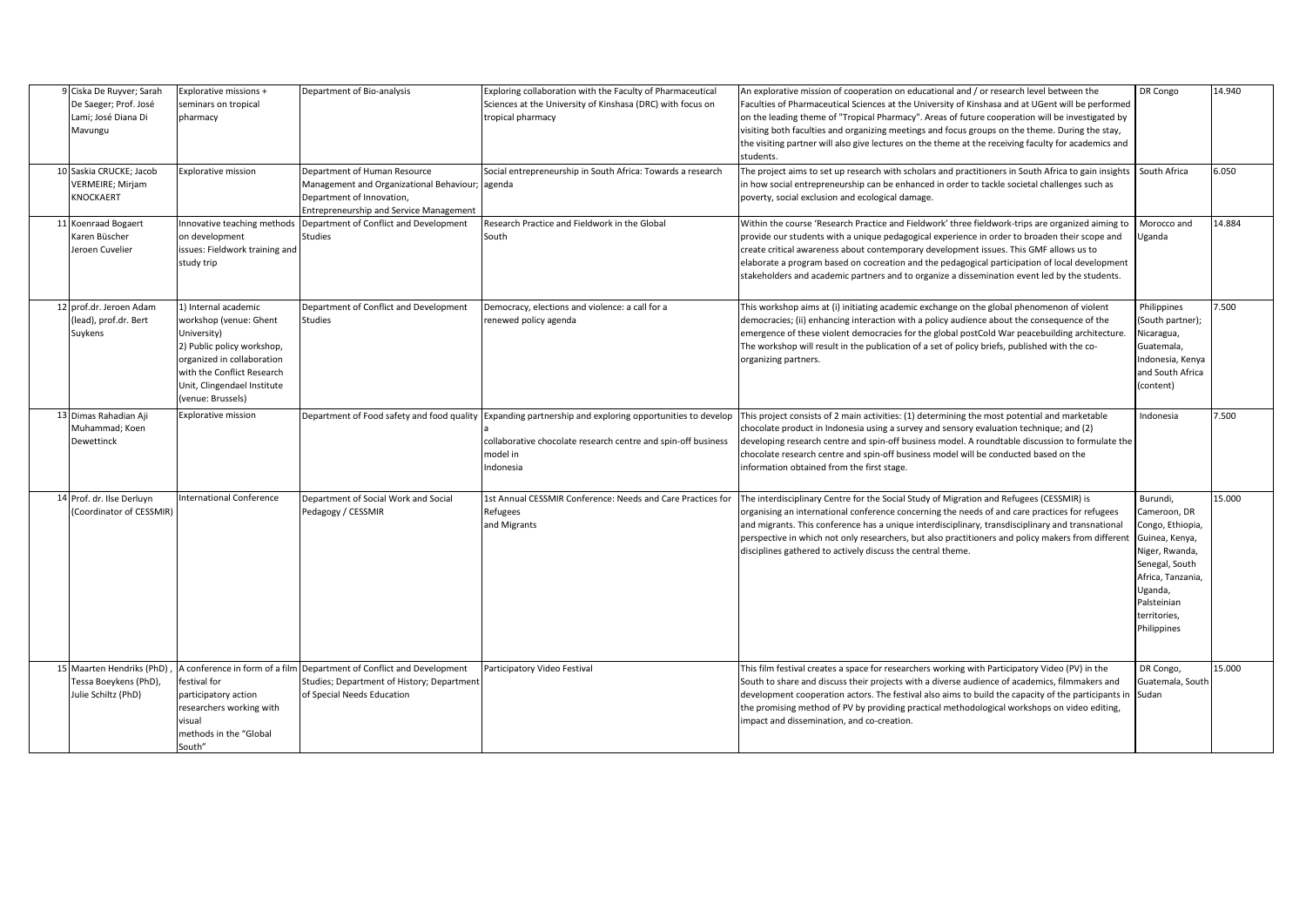| 9 Ciska De Ruyver; Sarah<br>De Saeger; Prof. José<br>Lami; José Diana Di<br>Mavungu | Explorative missions +<br>seminars on tropical<br>pharmacy                                                                                                                                                  | Department of Bio-analysis                                                                                                                                     | Exploring collaboration with the Faculty of Pharmaceutical<br>Sciences at the University of Kinshasa (DRC) with focus on<br>tropical pharmacy          | An explorative mission of cooperation on educational and / or research level between the<br>Faculties of Pharmaceutical Sciences at the University of Kinshasa and at UGent will be performed<br>on the leading theme of "Tropical Pharmacy". Areas of future cooperation will be investigated by<br>visiting both faculties and organizing meetings and focus groups on the theme. During the stay,<br>the visiting partner will also give lectures on the theme at the receiving faculty for academics and<br>students. | DR Congo                                                                                                                                                                         | 14.940 |
|-------------------------------------------------------------------------------------|-------------------------------------------------------------------------------------------------------------------------------------------------------------------------------------------------------------|----------------------------------------------------------------------------------------------------------------------------------------------------------------|--------------------------------------------------------------------------------------------------------------------------------------------------------|---------------------------------------------------------------------------------------------------------------------------------------------------------------------------------------------------------------------------------------------------------------------------------------------------------------------------------------------------------------------------------------------------------------------------------------------------------------------------------------------------------------------------|----------------------------------------------------------------------------------------------------------------------------------------------------------------------------------|--------|
| 10 Saskia CRUCKE; Jacob<br><b>VERMEIRE; Mirjam</b><br>KNOCKAERT                     | <b>Explorative mission</b>                                                                                                                                                                                  | Department of Human Resource<br>Management and Organizational Behaviour; agenda<br>Department of Innovation,<br><b>Entrepreneurship and Service Management</b> | Social entrepreneurship in South Africa: Towards a research                                                                                            | The project aims to set up research with scholars and practitioners in South Africa to gain insights South Africa<br>in how social entrepreneurship can be enhanced in order to tackle societal challenges such as<br>poverty, social exclusion and ecological damage.                                                                                                                                                                                                                                                    |                                                                                                                                                                                  | 6.050  |
| 11 Koenraad Bogaert<br>Karen Büscher<br>Jeroen Cuvelier                             | nnovative teaching methods<br>on development<br>issues: Fieldwork training and<br>study trip                                                                                                                | Department of Conflict and Development<br><b>Studies</b>                                                                                                       | Research Practice and Fieldwork in the Global<br>South                                                                                                 | Within the course 'Research Practice and Fieldwork' three fieldwork-trips are organized aiming to<br>provide our students with a unique pedagogical experience in order to broaden their scope and<br>create critical awareness about contemporary development issues. This GMF allows us to<br>elaborate a program based on cocreation and the pedagogical participation of local development<br>stakeholders and academic partners and to organize a dissemination event led by the students.                           | Morocco and<br>Uganda                                                                                                                                                            | 14.884 |
| 12 prof.dr. Jeroen Adam<br>(lead), prof.dr. Bert<br>Suykens                         | 1) Internal academic<br>workshop (venue: Ghent<br>University)<br>2) Public policy workshop,<br>organized in collaboration<br>with the Conflict Research<br>Unit, Clingendael Institute<br>(venue: Brussels) | Department of Conflict and Development<br><b>Studies</b>                                                                                                       | Democracy, elections and violence: a call for a<br>renewed policy agenda                                                                               | This workshop aims at (i) initiating academic exchange on the global phenomenon of violent<br>democracies; (ii) enhancing interaction with a policy audience about the consequence of the<br>emergence of these violent democracies for the global postCold War peacebuilding architecture.<br>The workshop will result in the publication of a set of policy briefs, published with the co-<br>organizing partners.                                                                                                      | Philippines<br>(South partner);<br>Nicaragua,<br>Guatemala,<br>Indonesia. Kenva<br>and South Africa<br>(content)                                                                 | 7.500  |
| 13 Dimas Rahadian Aji<br>Muhammad; Koen<br>Dewettinck                               | Explorative mission                                                                                                                                                                                         | Department of Food safety and food quality                                                                                                                     | Expanding partnership and exploring opportunities to develop<br>collaborative chocolate research centre and spin-off business<br>model in<br>Indonesia | This project consists of 2 main activities: (1) determining the most potential and marketable<br>chocolate product in Indonesia using a survey and sensory evaluation technique; and (2)<br>developing research centre and spin-off business model. A roundtable discussion to formulate the<br>chocolate research centre and spin-off business model will be conducted based on the<br>information obtained from the first stage.                                                                                        | Indonesia                                                                                                                                                                        | 7.500  |
| 14 Prof. dr. Ilse Derluyn<br>Coordinator of CESSMIR)                                | nternational Conference                                                                                                                                                                                     | Department of Social Work and Social<br>Pedagogy / CESSMIR                                                                                                     | 1st Annual CESSMIR Conference: Needs and Care Practices for<br>Refugees<br>and Migrants                                                                | The interdisciplinary Centre for the Social Study of Migration and Refugees (CESSMIR) is<br>organising an international conference concerning the needs of and care practices for refugees<br>and migrants. This conference has a unique interdisciplinary, transdisciplinary and transnational<br>perspective in which not only researchers, but also practitioners and policy makers from different<br>disciplines gathered to actively discuss the central theme.                                                      | Burundi,<br>Cameroon, DR<br>Congo, Ethiopia,<br>Guinea, Kenya,<br>Niger, Rwanda,<br>Senegal, South<br>Africa, Tanzania,<br>Uganda,<br>Palsteinian<br>territories,<br>Philippines | 15.000 |
| 15 Maarten Hendriks (PhD)<br>Tessa Boeykens (PhD),<br>Julie Schiltz (PhD)           | A conference in form of a film<br>estival for<br>participatory action<br>researchers working with<br>visual<br>methods in the "Global<br>South"                                                             | Department of Conflict and Development<br>Studies; Department of History; Department<br>of Special Needs Education                                             | Participatory Video Festival                                                                                                                           | This film festival creates a space for researchers working with Participatory Video (PV) in the<br>South to share and discuss their projects with a diverse audience of academics, filmmakers and<br>development cooperation actors. The festival also aims to build the capacity of the participants in<br>the promising method of PV by providing practical methodological workshops on video editing,<br>impact and dissemination, and co-creation.                                                                    | DR Congo,<br>Guatemala, South<br>Sudan                                                                                                                                           | 15.000 |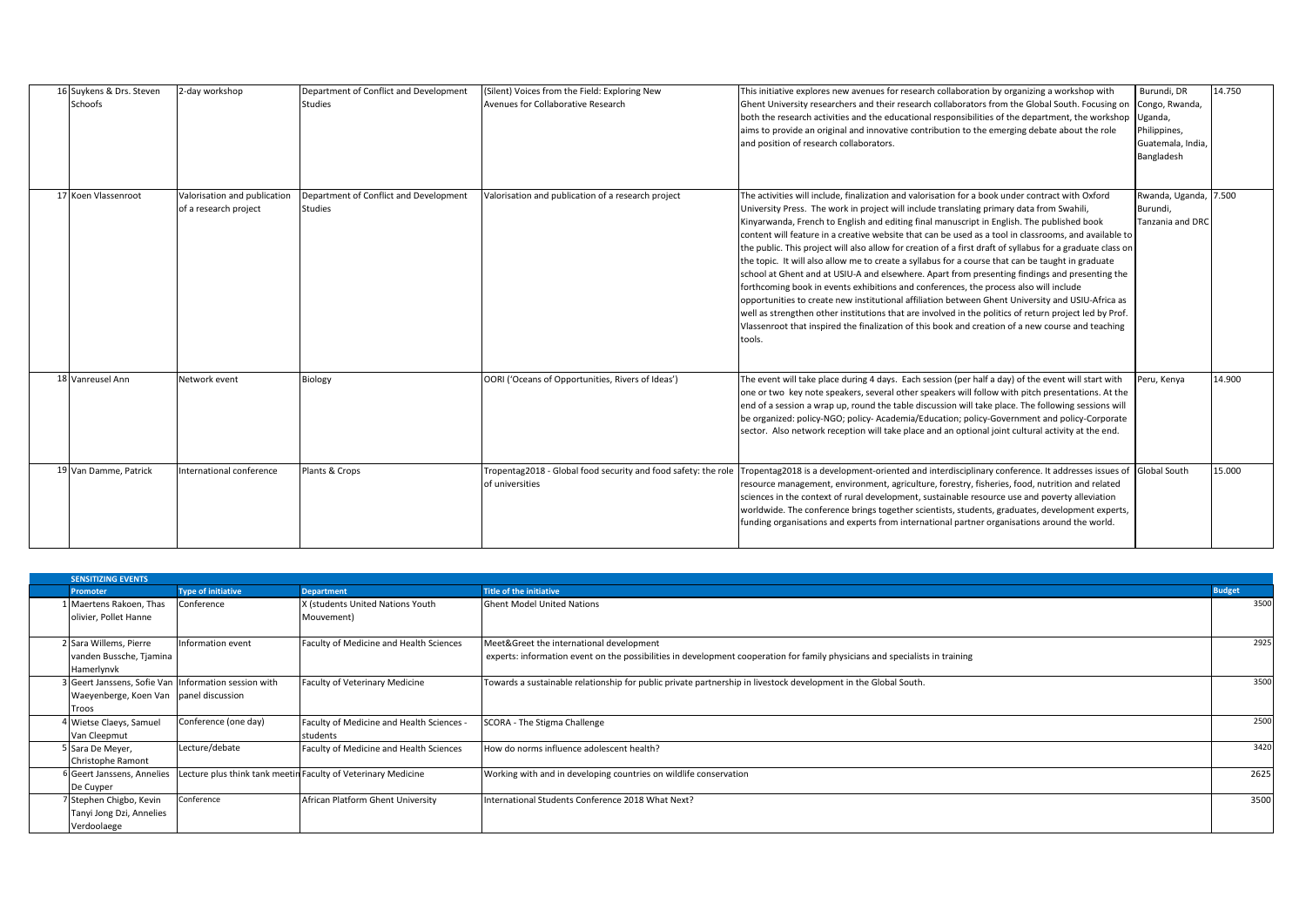| 16 Suykens & Drs. Steven<br>2-day workshop<br>Schoofs                        | Department of Conflict and Development<br><b>Studies</b> | (Silent) Voices from the Field: Exploring New<br>Avenues for Collaborative Research | This initiative explores new avenues for research collaboration by organizing a workshop with<br>Ghent University researchers and their research collaborators from the Global South. Focusing on<br>both the research activities and the educational responsibilities of the department, the workshop<br>aims to provide an original and innovative contribution to the emerging debate about the role<br>and position of research collaborators.                                                                                                                                                                                                                                                                                                                                                                                                                                                                                                                                                                                                                                                                                               | Burundi, DR<br>Congo, Rwanda,<br>Uganda,<br>Philippines,<br>Guatemala, India,<br>Bangladesh | 14.750 |
|------------------------------------------------------------------------------|----------------------------------------------------------|-------------------------------------------------------------------------------------|--------------------------------------------------------------------------------------------------------------------------------------------------------------------------------------------------------------------------------------------------------------------------------------------------------------------------------------------------------------------------------------------------------------------------------------------------------------------------------------------------------------------------------------------------------------------------------------------------------------------------------------------------------------------------------------------------------------------------------------------------------------------------------------------------------------------------------------------------------------------------------------------------------------------------------------------------------------------------------------------------------------------------------------------------------------------------------------------------------------------------------------------------|---------------------------------------------------------------------------------------------|--------|
| 17 Koen Vlassenroot<br>Valorisation and publication<br>of a research project | Department of Conflict and Development<br><b>Studies</b> | Valorisation and publication of a research project                                  | The activities will include, finalization and valorisation for a book under contract with Oxford<br>University Press. The work in project will include translating primary data from Swahili,<br>Kinyarwanda, French to English and editing final manuscript in English. The published book<br>content will feature in a creative website that can be used as a tool in classrooms, and available to<br>the public. This project will also allow for creation of a first draft of syllabus for a graduate class on<br>the topic. It will also allow me to create a syllabus for a course that can be taught in graduate<br>school at Ghent and at USIU-A and elsewhere. Apart from presenting findings and presenting the<br>forthcoming book in events exhibitions and conferences, the process also will include<br>opportunities to create new institutional affiliation between Ghent University and USIU-Africa as<br>well as strengthen other institutions that are involved in the politics of return project led by Prof.<br>Vlassenroot that inspired the finalization of this book and creation of a new course and teaching<br>tools. | Rwanda, Uganda, 7.500<br>Burundi.<br>Tanzania and DRC                                       |        |
| 18 Vanreusel Ann<br>Network event                                            | <b>Biology</b>                                           | OORI ('Oceans of Opportunities, Rivers of Ideas')                                   | The event will take place during 4 days. Each session (per half a day) of the event will start with<br>one or two key note speakers, several other speakers will follow with pitch presentations. At the<br>end of a session a wrap up, round the table discussion will take place. The following sessions will<br>be organized: policy-NGO; policy- Academia/Education; policy-Government and policy-Corporate<br>sector. Also network reception will take place and an optional joint cultural activity at the end.                                                                                                                                                                                                                                                                                                                                                                                                                                                                                                                                                                                                                            | Peru, Kenya                                                                                 | 14.900 |
| 19 Van Damme, Patrick<br>International conference                            | Plants & Crops                                           | Tropentag2018 - Global food security and food safety: the role<br>of universities   | Tropentag2018 is a development-oriented and interdisciplinary conference. It addresses issues of Global South<br>resource management, environment, agriculture, forestry, fisheries, food, nutrition and related<br>sciences in the context of rural development, sustainable resource use and poverty alleviation<br>worldwide. The conference brings together scientists, students, graduates, development experts,<br>funding organisations and experts from international partner organisations around the world.                                                                                                                                                                                                                                                                                                                                                                                                                                                                                                                                                                                                                            |                                                                                             | 15.000 |

| <b>SENSITIZING EVENTS</b>                            |                           |                                                               |                                                                                                                              |               |  |  |  |
|------------------------------------------------------|---------------------------|---------------------------------------------------------------|------------------------------------------------------------------------------------------------------------------------------|---------------|--|--|--|
| <b>Promoter</b>                                      | <b>Type of initiative</b> | <b>Department</b>                                             | <b>Title of the initiative</b>                                                                                               | <b>Budget</b> |  |  |  |
| 1 Maertens Rakoen, Thas                              | Conference                | X (students United Nations Youth                              | <b>Ghent Model United Nations</b>                                                                                            | 3500          |  |  |  |
| olivier, Pollet Hanne                                |                           | Mouvement)                                                    |                                                                                                                              |               |  |  |  |
|                                                      |                           |                                                               |                                                                                                                              |               |  |  |  |
| 2 Sara Willems, Pierre                               | Information event         | Faculty of Medicine and Health Sciences                       | Meet&Greet the international development                                                                                     | 2925          |  |  |  |
| vanden Bussche, Tjamina                              |                           |                                                               | experts: information event on the possibilities in development cooperation for family physicians and specialists in training |               |  |  |  |
| Hamerlynvk                                           |                           |                                                               |                                                                                                                              |               |  |  |  |
| 3 Geert Janssens, Sofie Van Information session with |                           | Faculty of Veterinary Medicine                                | Towards a sustainable relationship for public private partnership in livestock development in the Global South.              | 3500          |  |  |  |
| Waeyenberge, Koen Van panel discussion               |                           |                                                               |                                                                                                                              |               |  |  |  |
| Troos                                                |                           |                                                               |                                                                                                                              |               |  |  |  |
| 4 Wietse Claeys, Samuel                              | Conference (one day)      | Faculty of Medicine and Health Sciences -                     | SCORA - The Stigma Challenge                                                                                                 | 2500          |  |  |  |
| Van Cleepmut                                         |                           | students                                                      |                                                                                                                              |               |  |  |  |
| 5 Sara De Meyer,                                     | Lecture/debate            | Faculty of Medicine and Health Sciences                       | How do norms influence adolescent health?                                                                                    | 3420          |  |  |  |
| Christophe Ramont                                    |                           |                                                               |                                                                                                                              |               |  |  |  |
| <sup>6</sup> Geert Janssens, Annelies                |                           | Lecture plus think tank meetin Faculty of Veterinary Medicine | Working with and in developing countries on wildlife conservation                                                            | 2625          |  |  |  |
| De Cuyper                                            |                           |                                                               |                                                                                                                              |               |  |  |  |
| 7 Stephen Chigbo, Kevin                              | Conference                | African Platform Ghent University                             | International Students Conference 2018 What Next?                                                                            | 3500          |  |  |  |
| Tanyi Jong Dzi, Annelies                             |                           |                                                               |                                                                                                                              |               |  |  |  |
| Verdoolaege                                          |                           |                                                               |                                                                                                                              |               |  |  |  |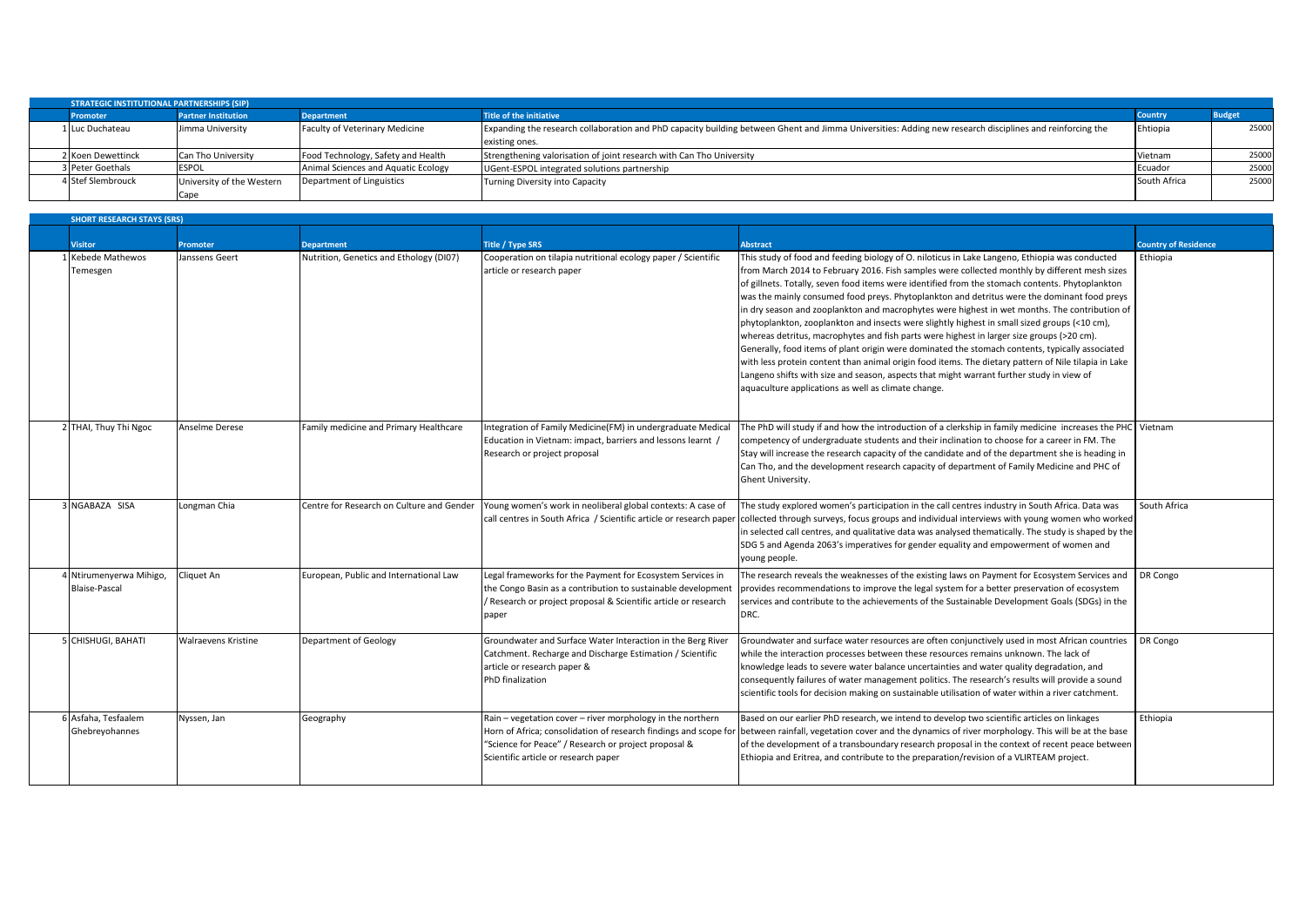| <b>STRATEGIC INSTITUTIONAL PARTNERSHIPS (SIP)</b> |                            |                                     |                                                                                                                                                          |              |               |  |  |  |
|---------------------------------------------------|----------------------------|-------------------------------------|----------------------------------------------------------------------------------------------------------------------------------------------------------|--------------|---------------|--|--|--|
| <b>Promoter</b>                                   | <b>Partner Institution</b> | <b>Department</b>                   | <b>Title of the initiative</b>                                                                                                                           |              | <b>Budget</b> |  |  |  |
| 1 Luc Duchateau                                   | Jimma University           | Faculty of Veterinary Medicine      | Expanding the research collaboration and PhD capacity building between Ghent and Jimma Universities: Adding new research disciplines and reinforcing the |              | 25000         |  |  |  |
|                                                   |                            |                                     | existing ones.                                                                                                                                           |              |               |  |  |  |
| 2 Koen Dewettinck                                 | Can Tho University         | Food Technology, Safety and Health  | Strengthening valorisation of joint research with Can Tho University                                                                                     | Vietnam      | 25000         |  |  |  |
| 3 Peter Goethals                                  | <b>ESPOL</b>               | Animal Sciences and Aquatic Ecology | UGent-ESPOL integrated solutions partnership                                                                                                             | Ecuador      | 25000         |  |  |  |
| 4 Stef Slembrouck                                 | University of the Western  | Department of Linguistics           | Turning Diversity into Capacity                                                                                                                          | South Africa | 25000         |  |  |  |
|                                                   | Cape                       |                                     |                                                                                                                                                          |              |               |  |  |  |

| <b>SHORT RESEARCH STAYS (SRS)</b>             |                     |                                           |                                                                                                                                                                                                        |                                                                                                                                                                                                                                                                                                                                                                                                                                                                                                                                                                                                                                                                                                                                                                                                                                                                                                                                                                                                                                                               |                             |  |  |
|-----------------------------------------------|---------------------|-------------------------------------------|--------------------------------------------------------------------------------------------------------------------------------------------------------------------------------------------------------|---------------------------------------------------------------------------------------------------------------------------------------------------------------------------------------------------------------------------------------------------------------------------------------------------------------------------------------------------------------------------------------------------------------------------------------------------------------------------------------------------------------------------------------------------------------------------------------------------------------------------------------------------------------------------------------------------------------------------------------------------------------------------------------------------------------------------------------------------------------------------------------------------------------------------------------------------------------------------------------------------------------------------------------------------------------|-----------------------------|--|--|
| <b>Visitor</b>                                | Promoter            | <b>Department</b>                         | <b>Title / Type SRS</b>                                                                                                                                                                                | <b>Abstract</b>                                                                                                                                                                                                                                                                                                                                                                                                                                                                                                                                                                                                                                                                                                                                                                                                                                                                                                                                                                                                                                               | <b>Country of Residence</b> |  |  |
| 1 Kebede Mathewos<br>Temesgen                 | Janssens Geert      | Nutrition, Genetics and Ethology (DI07)   | Cooperation on tilapia nutritional ecology paper / Scientific<br>article or research paper                                                                                                             | This study of food and feeding biology of O. niloticus in Lake Langeno, Ethiopia was conducted<br>from March 2014 to February 2016. Fish samples were collected monthly by different mesh sizes<br>of gillnets. Totally, seven food items were identified from the stomach contents. Phytoplankton<br>was the mainly consumed food preys. Phytoplankton and detritus were the dominant food preys<br>in dry season and zooplankton and macrophytes were highest in wet months. The contribution of<br>phytoplankton, zooplankton and insects were slightly highest in small sized groups (<10 cm),<br>whereas detritus, macrophytes and fish parts were highest in larger size groups (>20 cm).<br>Generally, food items of plant origin were dominated the stomach contents, typically associated<br>with less protein content than animal origin food items. The dietary pattern of Nile tilapia in Lake<br>Langeno shifts with size and season, aspects that might warrant further study in view of<br>aquaculture applications as well as climate change. | Ethiopia                    |  |  |
| 2 THAI, Thuy Thi Ngoc                         | Anselme Derese      | Family medicine and Primary Healthcare    | Integration of Family Medicine(FM) in undergraduate Medica<br>Education in Vietnam: impact, barriers and lessons learnt /<br>Research or project proposal                                              | The PhD will study if and how the introduction of a clerkship in family medicine increases the PHC Vietnam<br>competency of undergraduate students and their inclination to choose for a career in FM. The<br>Stay will increase the research capacity of the candidate and of the department she is heading in<br>Can Tho, and the development research capacity of department of Family Medicine and PHC of<br>Ghent University.                                                                                                                                                                                                                                                                                                                                                                                                                                                                                                                                                                                                                            |                             |  |  |
| 3 NGABAZA SISA                                | Longman Chia        | Centre for Research on Culture and Gender | Young women's work in neoliberal global contexts: A case of                                                                                                                                            | The study explored women's participation in the call centres industry in South Africa. Data was<br>call centres in South Africa / Scientific article or research paper collected through surveys, focus groups and individual interviews with young women who worked<br>in selected call centres, and qualitative data was analysed thematically. The study is shaped by the<br>SDG 5 and Agenda 2063's imperatives for gender equality and empowerment of women and<br>young people.                                                                                                                                                                                                                                                                                                                                                                                                                                                                                                                                                                         | South Africa                |  |  |
| Ntirumenyerwa Mihigo,<br><b>Blaise-Pascal</b> | Cliquet An          | European, Public and International Law    | Legal frameworks for the Payment for Ecosystem Services in<br>the Congo Basin as a contribution to sustainable development<br>/ Research or project proposal & Scientific article or research<br>paper | The research reveals the weaknesses of the existing laws on Payment for Ecosystem Services and<br>provides recommendations to improve the legal system for a better preservation of ecosystem<br>services and contribute to the achievements of the Sustainable Development Goals (SDGs) in the<br>DRC.                                                                                                                                                                                                                                                                                                                                                                                                                                                                                                                                                                                                                                                                                                                                                       | DR Congo                    |  |  |
| 5 CHISHUGI, BAHATI                            | Walraevens Kristine | Department of Geology                     | Groundwater and Surface Water Interaction in the Berg River<br>Catchment. Recharge and Discharge Estimation / Scientific<br>article or research paper &<br><b>PhD</b> finalization                     | Groundwater and surface water resources are often conjunctively used in most African countries<br>while the interaction processes between these resources remains unknown. The lack of<br>knowledge leads to severe water balance uncertainties and water quality degradation, and<br>consequently failures of water management politics. The research's results will provide a sound<br>scientific tools for decision making on sustainable utilisation of water within a river catchment.                                                                                                                                                                                                                                                                                                                                                                                                                                                                                                                                                                   | <b>DR Congo</b>             |  |  |
| 6 Asfaha, Tesfaalem<br>Ghebreyohannes         | Nyssen, Jan         | Geography                                 | Rain - vegetation cover - river morphology in the northern<br>"Science for Peace" / Research or project proposal &<br>Scientific article or research paper                                             | Based on our earlier PhD research, we intend to develop two scientific articles on linkages<br>Horn of Africa; consolidation of research findings and scope for between rainfall, vegetation cover and the dynamics of river morphology. This will be at the base<br>of the development of a transboundary research proposal in the context of recent peace between<br>Ethiopia and Eritrea, and contribute to the preparation/revision of a VLIRTEAM project.                                                                                                                                                                                                                                                                                                                                                                                                                                                                                                                                                                                                | Ethiopia                    |  |  |